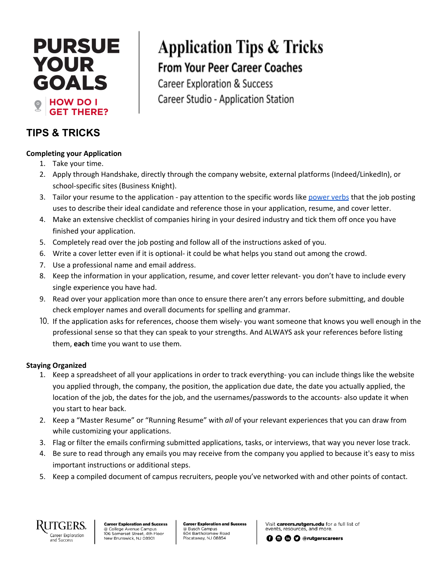## **PURSUE YOUR** GOALS **HOW DO I THERE?** GET

### **TIPS & TRICKS**

### **Completing your Application**

- 1. Take your time.
- 2. Apply through Handshake, directly through the company website, external platforms (Indeed/LinkedIn), or school-specific sites (Business Knight).
- 3. Tailor your resume to the application pay attention to the specific words like [power](https://issuu.com/rutgerscareers/docs/ucs_career___internship_guide_2019_829/16) verbs that the job posting uses to describe their ideal candidate and reference those in your application, resume, and cover letter.

**Application Tips & Tricks** 

**From Your Peer Career Coaches** 

Career Studio - Application Station

**Career Exploration & Success** 

- 4. Make an extensive checklist of companies hiring in your desired industry and tick them off once you have finished your application.
- 5. Completely read over the job posting and follow all of the instructions asked of you.
- 6. Write a cover letter even if it is optional- it could be what helps you stand out among the crowd.
- 7. Use a professional name and email address.
- 8. Keep the information in your application, resume, and cover letter relevant- you don't have to include every single experience you have had.
- 9. Read over your application more than once to ensure there aren't any errors before submitting, and double check employer names and overall documents for spelling and grammar.
- 10. If the application asks for references, choose them wisely- you want someone that knows you well enough in the professional sense so that they can speak to your strengths. And ALWAYS ask your references before listing them, **each** time you want to use them.

### **Staying Organized**

- 1. Keep a spreadsheet of all your applications in order to track everything- you can include things like the website you applied through, the company, the position, the application due date, the date you actually applied, the location of the job, the dates for the job, and the usernames/passwords to the accounts- also update it when you start to hear back.
- 2. Keep a "Master Resume" or "Running Resume" with *all* of your relevant experiences that you can draw from while customizing your applications.
- 3. Flag or filter the emails confirming submitted applications, tasks, or interviews, that way you never lose track.
- 4. Be sure to read through any emails you may receive from the company you applied to because it's easy to miss important instructions or additional steps.
- 5. Keep a compiled document of campus recruiters, people you've networked with and other points of contact.



**Career Exploration and Success** College Avenue Campus 106 Somerset Street, 4th Floor New Brunswick, NJ 08901

**Career Exploration and Success** @ Busch Campus e Busch Campus<br>604 Bartholomew Road Piscataway, NJ 08854

Visit careers.rutgers.edu for a full list of events, resources, and more

**O** @ O @rutgerscareers